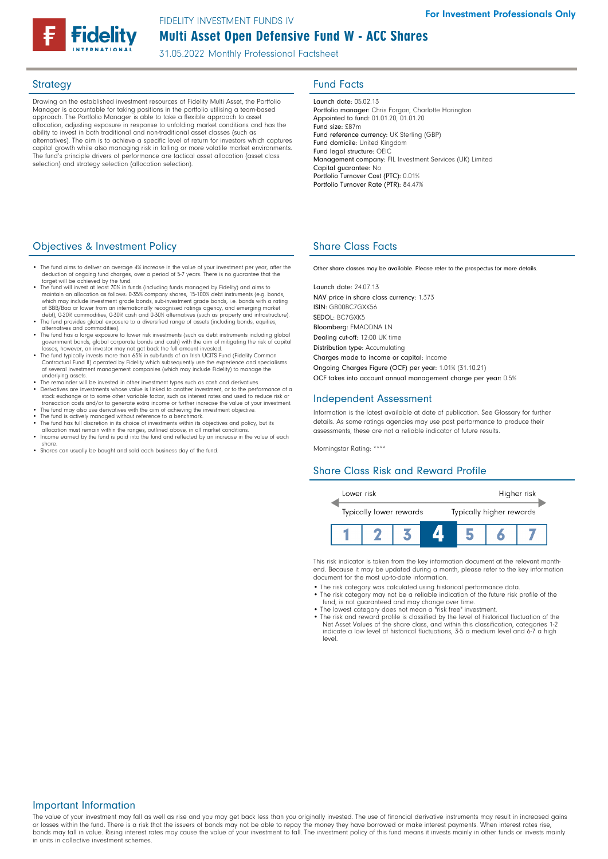# Multi Asset Open Defensive Fund W - ACC Shares FIDELITY INVESTMENT FUNDS IV

31.05.2022 Monthly Professional Factsheet

Drawing on the established investment resources of Fidelity Multi Asset, the Portfolio Manager is accountable for taking positions in the portfolio utilising a team-based approach. The Portfolio Manager is able to take a flexible approach to asset allocation, adjusting exposure in response to unfolding market conditions and has the ability to invest in both traditional and non-traditional asset classes (such as alternatives). The aim is to achieve a specific level of return for investors which captures capital growth while also managing risk in falling or more volatile market environments. The fund's principle drivers of performance are tactical asset allocation (asset class selection) and strategy selection (allocation selection).

# Strategy **Fund Facts**

Launch date: 05.02.13 Portfolio manager: Chris Forgan, Charlotte Harington Appointed to fund: 01.01.20, 01.01.20 Fund size: £87m Fund reference currency: UK Sterling (GBP) Fund domicile: United Kingdom Fund legal structure: OEIC Management company: FIL Investment Services (UK) Limited Capital guarantee: No Portfolio Turnover Cost (PTC): 0.01% Portfolio Turnover Rate (PTR): 84.47%

## **Objectives & Investment Policy Share Class Facts** Share Class Facts

- The fund aims to deliver an average 4% increase in the value of your investment per year, after the deduction of onooing fund charges over a period of 5-7 vears. There is no quarantee that the deduction of ongoing fund charges, over a period of 5-7 years. There is no guarantee that the target will be achieved by the fund.
- The fund will invest at least 70% in funds (including funds managed by Fidelity) and aims to maintain an allocation as follows: 0-35% company shares, 15-100% debt instruments (e.g. bonds, which may include investment grade bonds, sub-investment grade bonds, i.e. bonds with a rating of BBB/Baa or lower from an internationally recognised ratings agency, and emerging market debt), 0-20% commodities, 0-30% cash and 0-30% alternatives (such as property and infrastructure).
- The fund provides global exposure to a diversified range of assets (including bonds, equities, alternatives and commodities). • The fund has a large exposure to lower risk investments (such as debt instruments including global
- government bonds, global corporate bonds and cash) with the aim of mitigating the risk of capital<br>losses, however, an investor may not get back the full amount invested.<br>• The fund typically invests more than 65% in sub-fu
- Contractual Fund II) operated by Fidelity which subsequently use the experience and specialisms of several investment management companies (which may include Fidelity) to manage the underlying assets.
- The remainder will be invested in other investment types such as cash and derivatives. Derivatives are investments whose value is linked to another investment, or to the performance of a
- stock exchange or to some other variable factor, such as interest rates and used to reduce risk or<br>transaction costs and/or to generate extra income or further increase the value of your investment.<br>• The fund may also use
- The fund is actively managed without reference to a benchmark.<br>• The fund has full discretion in its choice of investments within its objectives and policy, but its<br>allocation must remain within the ranges, outlined abov
- Income earned by the fund is paid into the fund and reflected by an increase in the value of each share.
- Shares can usually be bought and sold each business day of the fund.

Other share classes may be available. Please refer to the prospectus for more details.

Launch date: 24.07.13 NAV price in share class currency: 1.373 ISIN: GB00BC7GXK56 SEDOL: BC7GXK5 Bloomberg: FMAODNA LN Dealing cut-off: 12:00 UK time Distribution type: Accumulating Charges made to income or capital: Income Ongoing Charges Figure (OCF) per year: 1.01% (31.10.21) OCF takes into account annual management charge per year: 0.5%

### Independent Assessment

Information is the latest available at date of publication. See Glossary for further details. As some ratings agencies may use past performance to produce their assessments, these are not a reliable indicator of future results.

Morningstar Rating: \*\*\*\*

### Share Class Risk and Reward Profile



This risk indicator is taken from the key information document at the relevant monthend. Because it may be updated during a month, please refer to the key information document for the most up-to-date information.

- The risk category was calculated using historical performance data.
- The risk category may not be a reliable indication of the future risk profile of the fund, is not guaranteed and may change over time.
- The lowest category does not mean a "risk free" investment. The risk and reward profile is classified by the level of historical fluctuation of the
- Net Asset Values of the share class, and within this classification, categories 1-2 indicate a low level of historical fluctuations, 3-5 a medium level and 6-7 a high level.

## Important Information

The value of your investment may fall as well as rise and you may get back less than you originally invested. The use of financial derivative instruments may result in increased gains or losses within the fund. There is a risk that the issuers of bonds may not be able to repay the money they have borrowed or make interest payments. When interest rates rise, bonds may fall in value. Rising interest rates may cause the value of your investment to fall. The investment policy of this fund means it invests mainly in other funds or invests mainly in units in collective investment schemes.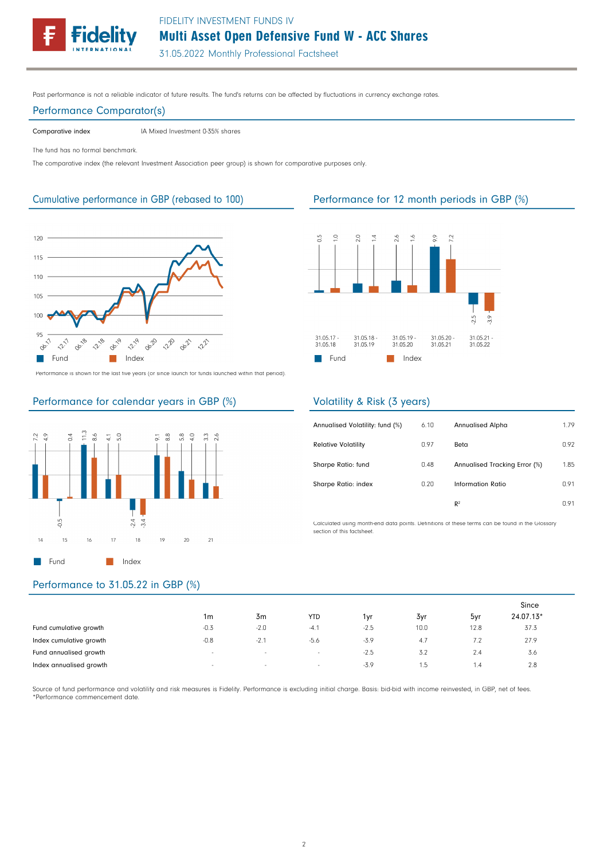FIDELITY INVESTMENT FUNDS IV



31.05.2022 Monthly Professional Factsheet

Past performance is not a reliable indicator of future results. The fund's returns can be affected by fluctuations in currency exchange rates.

#### Performance Comparator(s)

Comparative index IA Mixed Investment 0-35% shares

The fund has no formal benchmark.

The comparative index (the relevant Investment Association peer group) is shown for comparative purposes only.



Performance is shown for the last five years (or since launch for funds launched within that period).

## Performance for calendar years in GBP (%)



# Performance to 31.05.22 in GBP (%)

|                         |                          |                          |            |        |      |      | Since     |  |
|-------------------------|--------------------------|--------------------------|------------|--------|------|------|-----------|--|
|                         | 1m                       | 3m                       | <b>YTD</b> | 1 vr   | 3yr  | 5yr  | 24.07.13* |  |
| Fund cumulative growth  | $-0.3$                   | $-2.0$                   | $-4.1$     | $-2.5$ | 10.0 | 12.8 | 37.3      |  |
| Index cumulative growth | $-0.8$                   | $-2.1$                   | -5.6       | $-3.9$ | 4.7  | 7.2  | 27.9      |  |
| Fund annualised growth  | $\sim$                   | $\overline{\phantom{a}}$ | $\sim$     | $-2.5$ | 3.2  | 2.4  | 3.6       |  |
| Index annualised growth | $\overline{\phantom{a}}$ | $\sim$                   | $\sim$     | $-3.9$ | .5   | 1.4  | 2.8       |  |

Source of fund performance and volatility and risk measures is Fidelity. Performance is excluding initial charge. Basis: bid-bid with income reinvested, in GBP, net of fees. \*Performance commencement date.

## Cumulative performance in GBP (rebased to 100) Performance for 12 month periods in GBP (%)



### Volatility & Risk (3 years)

| Annualised Volatility: fund (%) | 6.10 | <b>Annualised Alpha</b>       | 1.79 |
|---------------------------------|------|-------------------------------|------|
| <b>Relative Volatility</b>      | 0.97 | Beta                          | 0.92 |
| Sharpe Ratio: fund              | 0.48 | Annualised Tracking Error (%) | 1.85 |
| Sharpe Ratio: index             | 0.20 | Information Ratio             | 0.91 |
|                                 |      | R <sup>2</sup>                | n 91 |

Calculated using month-end data points. Definitions of these terms can be found in the Glossary section of this factsheet.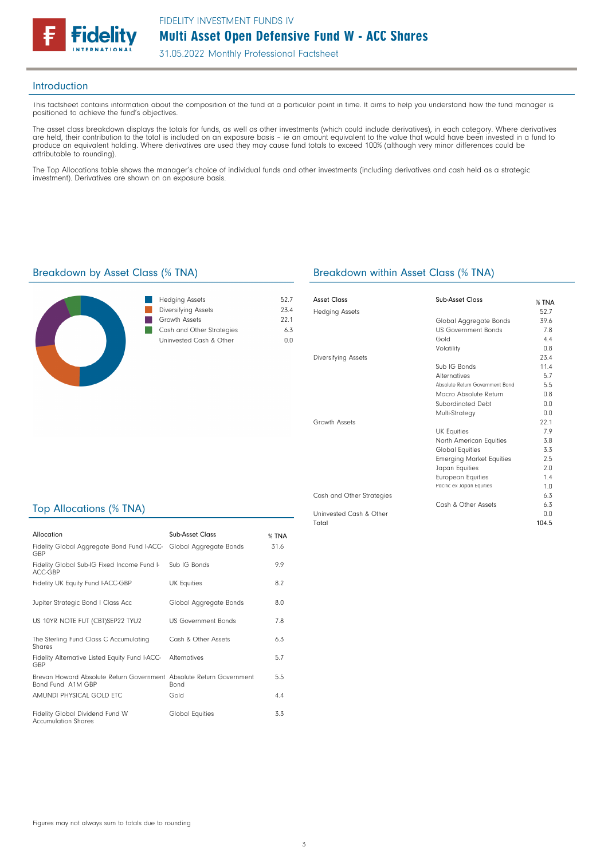

31.05.2022 Monthly Professional Factsheet

#### Introduction

This factsheet contains information about the composition of the fund at a particular point in time. It aims to help you understand how the fund manager is positioned to achieve the fund's objectives.

The asset class breakdown displays the totals for funds, as well as other investments (which could include derivatives), in each category. Where derivatives are held, their contribution to the total is included on an exposure basis – ie an amount equivalent to the value that would have been invested in a fund to produce an equivalent holding. Where derivatives are used they may cause fund totals to exceed 100% (although very minor differences could be attributable to rounding).

The Top Allocations table shows the manager's choice of individual funds and other investments (including derivatives and cash held as a strategic investment). Derivatives are shown on an exposure basis.

### Breakdown by Asset Class (% TNA) Breakdown within Asset Class (% TNA)



| <b>Hedging Assets</b>     | 527  |
|---------------------------|------|
| Diversifying Assets       | 234  |
| Growth Assets             | 221  |
| Cash and Other Strategies | 63   |
| Uninvested Cash & Other   | (111 |
|                           |      |

| Asset Class               | Sub-Asset Class                 | $%$ TNA |
|---------------------------|---------------------------------|---------|
| <b>Hedging Assets</b>     |                                 | 52.7    |
|                           | Global Aggregate Bonds          | 39.6    |
|                           | <b>US Government Bonds</b>      | 7.8     |
|                           | Gold                            | 4.4     |
|                           | Volatility                      | 0.8     |
| Diversifying Assets       |                                 | 23.4    |
|                           | Sub IG Bonds                    | 11.4    |
|                           | <b>Alternatives</b>             | 5.7     |
|                           | Absolute Return Government Bond | 5.5     |
|                           | Macro Absolute Return           | 0.8     |
|                           | Subordinated Debt               | n n     |
|                           | Multi-Strategy                  | 0.0     |
| Growth Assets             |                                 | 221     |
|                           | <b>UK Equities</b>              | 7.9     |
|                           | North American Equities         | 3.8     |
|                           | Global Equities                 | 3.3     |
|                           | <b>Emerging Market Equities</b> | 2.5     |
|                           | Japan Equities                  | 2.0     |
|                           | <b>European Equities</b>        | 1.4     |
|                           | Pacific ex Japan Equities       | 1.0     |
| Cash and Other Strategies |                                 | 6.3     |
|                           | Cash & Other Assets             | 6.3     |
| Uninvested Cash & Other   |                                 | 0.0     |

104.5

Top Allocations (% TNA)

| Allocation                                                                               | Sub-Asset Class            | $%$ TNA |
|------------------------------------------------------------------------------------------|----------------------------|---------|
| Fidelity Global Aggregate Bond Fund I-ACC- Global Aggregate Bonds<br>GBP                 |                            | 31.6    |
| Fidelity Global Sub-IG Fixed Income Fund I-<br>ACC-GBP                                   | Sub IG Bonds               | 9.9     |
| Fidelity UK Equity Fund I-ACC-GBP                                                        | <b>UK Equities</b>         | 8.2     |
| Jupiter Strategic Bond I Class Acc                                                       | Global Aggregate Bonds     | 8.0     |
| US 10YR NOTE FUT (CBT)SEP22 TYU2                                                         | <b>US Government Bonds</b> | 7.8     |
| The Sterling Fund Class C Accumulating<br>Shares                                         | Cash & Other Assets        | 6.3     |
| Fidelity Alternative Listed Equity Fund I-ACC-<br>GBP                                    | Alternatives               | 5.7     |
| Brevan Howard Absolute Return Government Absolute Return Government<br>Bond Fund A1M GBP | <b>Bond</b>                | 5.5     |
| AMUNDI PHYSICAL GOLD ETC                                                                 | Gold                       | 4.4     |
| Fidelity Global Dividend Fund W<br><b>Accumulation Shares</b>                            | <b>Global Equities</b>     | 3.3     |

Total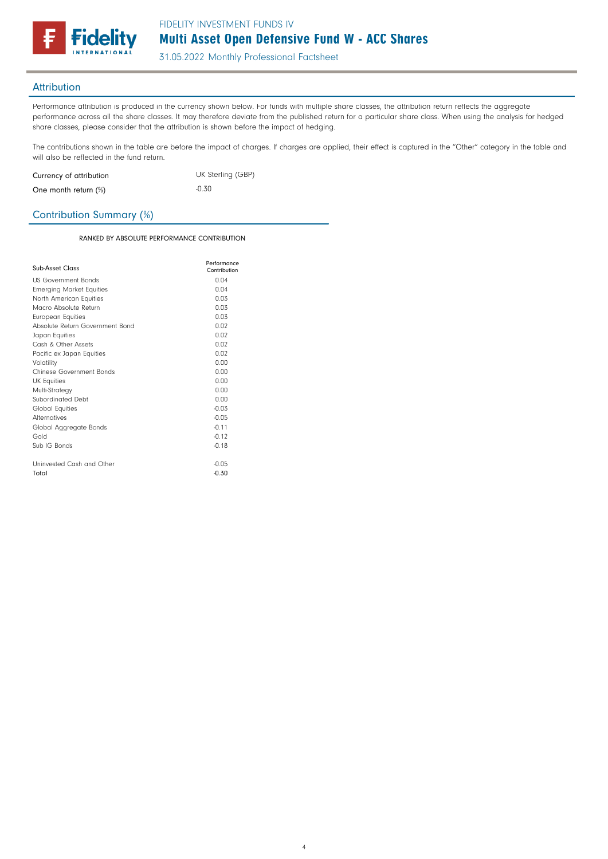

31.05.2022 Monthly Professional Factsheet

## Attribution

Performance attribution is produced in the currency shown below. For funds with multiple share classes, the attribution return reflects the aggregate performance across all the share classes. It may therefore deviate from the published return for a particular share class. When using the analysis for hedged share classes, please consider that the attribution is shown before the impact of hedging.

The contributions shown in the table are before the impact of charges. If charges are applied, their effect is captured in the "Other" category in the table and will also be reflected in the fund return.

| Currency of attribution | UK Sterling (GBP) |
|-------------------------|-------------------|
| One month return (%)    | $-0.30$           |

## Contribution Summary (%)

RANKED BY ABSOLUTE PERFORMANCE CONTRIBUTION

| Sub-Asset Class                 | Performance<br>Contribution |
|---------------------------------|-----------------------------|
| <b>US Government Bonds</b>      | 0.04                        |
| <b>Emerging Market Equities</b> | n <sub>0</sub>              |
| North American Equities         | 0.03                        |
| Macro Absolute Return           | 0.03                        |
| <b>European Equities</b>        | 0.03                        |
| Absolute Return Government Bond | 0.02                        |
| Japan Equities                  | 0.02                        |
| Cash & Other Assets             | 0.02                        |
| Pacific ex Japan Equities       | 0.02                        |
| Volatility                      | 0.00                        |
| Chinese Government Bonds        | 0.00                        |
| <b>UK Equities</b>              | n nn                        |
| Multi-Strategy                  | 0.00                        |
| Subordinated Debt               | n nn                        |
| <b>Global Equities</b>          | $-0.03$                     |
| <b>Alternatives</b>             | $-0.05$                     |
| Global Aggregate Bonds          | $-0.11$                     |
| Gold                            | $-0.12$                     |
| Sub IG Bonds                    | $-0.18$                     |
| Uninvested Cash and Other       | $-0.05$                     |
| Total                           | $-0.30$                     |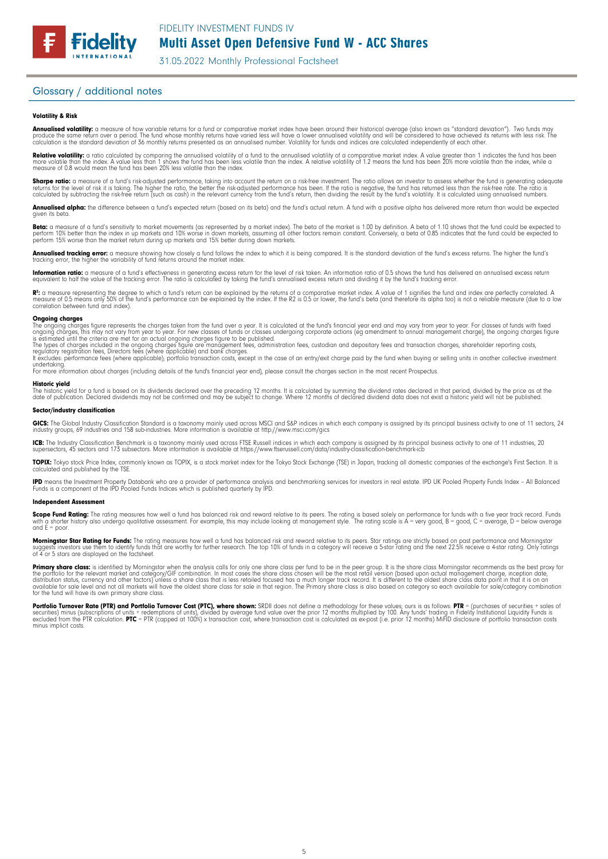

31.05.2022 Monthly Professional Factsheet

## Glossary / additional notes

**Fidelity** 

#### Volatility & Risk

**Annualised volatility:** a measure of how variable returns for a fund or comparative market index have been around their historical average (also known as "standard deviation"). Two funds may<br>produce the same return over a calculation is the standard deviation of 36 monthly returns presented as an annualised number. Volatility for funds and indices are calculated independently of each other.

**Relative volatility:** a ratio calculated by comparing the annualised volatility of a fund to the annualised volatility of a comparative market index. A value greater than 1 indicates the fund has been<br>more volatile than t measure of 0.8 would mean the fund has been 20% less volatile than the index.

**Sharpe ratio:** a measure of a fund's risk-adjusted performance, taking into account the return on a risk-free investment. The ratio allows an investor to assess whether the fund is generating adequate the fund is generati

**Annualised alpha:** the difference between a fund's expected return (based on its beta) and the fund's actual return. A fund with a positive alpha has delivered more return than would be expected given its beto

**Beta:** a measure of a fund's sensitivity to market movements (as represented by a market index). The beta of the market is 1.00 by definition. A beta of 1.10 shows that the fund could be expected to<br>perform 10% better tha

**Annualised tracking error:** a measure showing how closely a fund follows the index to which it is being compared. It is the standard deviation of the fund's excess returns. The higher the fund's<br>tracking error, the higher

**Information ratio:** a measure of a fund's effectiveness in generating excess return for the level of risk taken. An information ratio of 0.5 shows the fund has delivered an annualised excess return<br>equivalent to half the

R": a measure representing the degree to which a fund's return can be explained by the returns of a comparative market index. A value of 1 signifies the fund and index are perfectly correlated. A<br>measure of 0.5 means only correlation between fund and index).

#### **Ongoing charges**<br>The ongoing charge

The ongoing charges figure represents the charges taken from the fund over a year. It is calculated at the fund's financial year end and may vary from year to year. For classes of funds with fixed<br>ongoing charges, this may

The types of charges included in the ongoing charges figure are management fees, administration fees, custodian and depositary fees and transaction charges, shareholder reporting costs,<br>regulatory registration fees, Direct

undertaking. For more information about charges (including details of the fund's financial year end), please consult the charges section in the most recent Prospectus.

#### Historic yield

The historic yield for a fund is based on its dividends declared over the preceding 12 months. It is calculated by summing the dividend rates declared in that period, divided by the price as at the<br>date of publication. Dec

#### Sector/industry classification

**GICS:** The Global Industry Classification Standard is a taxonomy mainly used across MSCI and S&P indices in which each company is assigned by its principal business activity to one of 11 sectors, 24<br>industry groups, 69 in

**ICB:** The Industry Classification Benchmark is a taxonomy mainly used across FTSE Russell indices in which each company is assigned by its principal business activity to one of 11 industries, 20<br>supersectors, 45 sectors a

**TOPIX:** Tokyo stock Price Index, commonly known as TOPIX, is a stock market index for the Tokyo Stock Exchange (TSE) in Japan, tracking all domestic companies of the exchange's First Section. It is<br>calculated and publishe

**IPD** means the Investment Property Databank who are a provider of performance analysis and benchmarking services for investors in real estate. IPD UK Pooled Property Funds Index - All Balanced<br>Funds is a component of the

#### Independent Assessment

**Scope Fund Rating:** The rating measures how well a fund has balanced risk and reward relative to its peers. The rating is based solely on performance for funds with a five year track record. Funds<br>with a shorter history a and  $F =$  poor.

**Morningstar Star Rating for Funds:** The rating measures how well a fund has balanced risk and reward relative to its peers. Star ratings are strictly based on past performance and Morningstar<br>suggests investors use them t

**Primary share class:** is identified by Morningstar when the analysis calls tor only one share class per fund to be in the peer group. It is the share class Morningstar recommends as the best proxy for<br>the portfolio for th

Portfolio Turnover Rate (PTR) and Portfolio Turnover Cost (PTC), where shown: SRDII does not define a methodology for these values; ours is as follows: PTR = (purchases of securities + sales of<br>securities) minus (subscript minus implicit costs.